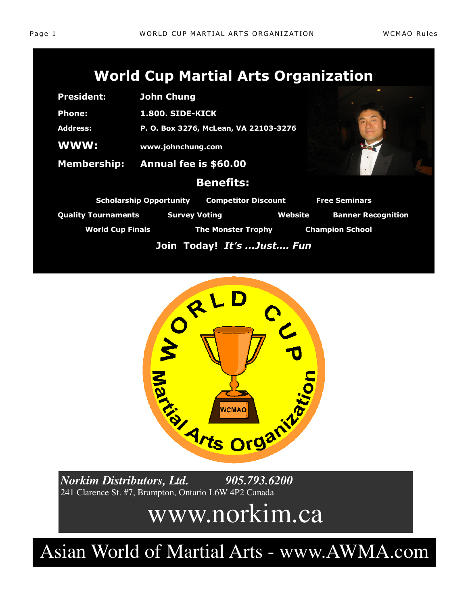| <b>President:</b>                                            | <b>John Chung</b>                     |                  |                      |                   |
|--------------------------------------------------------------|---------------------------------------|------------------|----------------------|-------------------|
| <b>Phone:</b>                                                | <b>1.800. SIDE-KICK</b>               |                  |                      |                   |
| <b>Address:</b>                                              | P. O. Box 3276, McLean, VA 22103-3276 |                  |                      |                   |
| <b>WWW:</b>                                                  | www.johnchung.com                     |                  |                      |                   |
|                                                              | Membership: Annual fee is \$60.00     |                  |                      |                   |
|                                                              |                                       | <b>Benefits:</b> |                      |                   |
| <b>Scholarship Opportunity</b><br><b>Competitor Discount</b> |                                       |                  | <b>Free Seminars</b> |                   |
| <b>Ouality Tournaments</b>                                   | <b>Survey Voting</b>                  |                  | Website              | <b>Banner Reg</b> |

**nner Recognition** World Cup Finals **The Monster Trophy** Champion School

**Join Today!** *It's ...Just…. Fun*



241 Clarence St. #7, Brampton, Ontario L6W 4P2 Canada

# www.norkim.ca

Asian World of Martial Arts - www.AWMA.com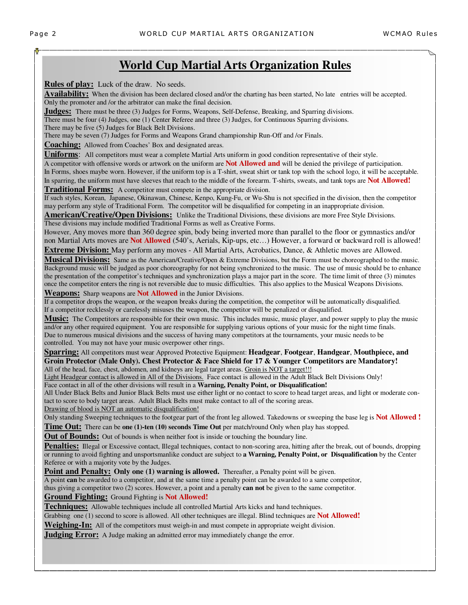**Rules of play:** Luck of the draw. No seeds.

**Availability:** When the division has been declared closed and/or the charting has been started, No late entries will be accepted. Only the promoter and /or the arbitrator can make the final decision.

**Judges:** There must be three (3) Judges for Forms, Weapons, Self-Defense, Breaking, and Sparring divisions.

There must be four (4) Judges, one (1) Center Referee and three (3) Judges, for Continuous Sparring divisions.

There may be five (5) Judges for Black Belt Divisions.

There may be seven (7) Judges for Forms and Weapons Grand championship Run-Off and /or Finals.

**Coaching:** Allowed from Coaches' Box and designated areas.

**Uniforms**: All competitors must wear a complete Martial Arts uniform in good condition representative of their style.

A competitor with offensive words or artwork on the uniform are **Not Allowed and** will be denied the privilege of participation. In Forms, shoes maybe worn. However, if the uniform top is a T-shirt, sweat shirt or tank top with the school logo, it will be acceptable.

In sparring, the uniform must have sleeves that reach to the middle of the forearm. T-shirts, sweats, and tank tops are **Not Allowed! Traditional Forms:** A competitor must compete in the appropriate division.

If such styles, Korean, Japanese, Okinawan, Chinese, Kenpo, Kung-Fu, or Wu-Shu is not specified in the division, then the competitor may perform any style of Traditional Form. The competitor will be disqualified for competing in an inappropriate division.

**American/Creative/Open Divisions:** Unlike the Traditional Divisions, these divisions are more Free Style Divisions. These divisions may include modified Traditional Forms as well as Creative Forms.

However, Any moves more than 360 degree spin, body being inverted more than parallel to the floor or gymnastics and/or non Martial Arts moves are **Not Allowed** (540's, Aerials, Kip-ups, etc…) However, a forward or backward roll is allowed! **Extreme Division:** May perform any moves - All Martial Arts, Acrobatics, Dance, & Athletic moves are Allowed.

**Musical Divisions:** Same as the American/Creative/Open & Extreme Divisions, but the Form must be choreographed to the music. Background music will be judged as poor choreography for not being synchronized to the music. The use of music should be to enhance the presentation of the competitor's techniques and synchronization plays a major part in the score. The time limit of three (3) minutes once the competitor enters the ring is not reversible due to music difficulties. This also applies to the Musical Weapons Divisions. **Weapons:** Sharp weapons are **Not Allowed** in the Junior Divisions.

If a competitor drops the weapon, or the weapon breaks during the competition, the competitor will be automatically disqualified. If a competitor recklessly or carelessly misuses the weapon, the competitor will be penalized or disqualified.

**Music:** The Competitors are responsible for their own music. This includes music, music player, and power supply to play the music and/or any other required equipment. You are responsible for supplying various options of your music for the night time finals. Due to numerous musical divisions and the success of having many competitors at the tournaments, your music needs to be controlled. You may not have your music overpower other rings.

**Sparring:** All competitors must wear Approved Protective Equipment: **Headgear**, **Footgear**, **Handgear**, **Mouthpiece, and Groin Protector (Male Only). Chest Protector & Face Shield for 17 & Younger Competitors are Mandatory!** All of the head, face, chest, abdomen, and kidneys are legal target areas. Groin is NOT a target!!!

Light Headgear contact is allowed in All of the Divisions. Face contact is allowed in the Adult Black Belt Divisions Only!

Face contact in all of the other divisions will result in a **Warning, Penalty Point, or Disqualification!** 

All Under Black Belts and Junior Black Belts must use either light or no contact to score to head target areas, and light or moderate contact to score to body target areas. Adult Black Belts must make contact to all of the scoring areas.

Drawing of blood is NOT an automatic disqualification!

Only standing Sweeping techniques to the footgear part of the front leg allowed. Takedowns or sweeping the base leg is **Not Allowed ! Time Out:** There can be **one** (1)-ten (10) seconds Time Out per match/round Only when play has stopped.

**Out of Bounds:** Out of bounds is when neither foot is inside or touching the boundary line.

Penalties: Illegal or Excessive contact, Illegal techniques, contact to non-scoring area, hitting after the break, out of bounds, dropping or running to avoid fighting and unsportsmanlike conduct are subject to **a Warning, Penalty Point, or Disqualification** by the Center Referee or with a majority vote by the Judges.

**Point and Penalty: Only one (1) warning is allowed.** Thereafter, a Penalty point will be given.

A point **can** be awarded to a competitor, and at the same time a penalty point can be awarded to a same competitor, thus giving a competitor two (2) scores. However, a point and a penalty **can not** be given to the same competitor.

**Ground Fighting:** Ground Fighting is **Not Allowed!**

**Techniques:** Allowable techniques include all controlled Martial Arts kicks and hand techniques.

Grabbing one (1) second to score is allowed. All other techniques are illegal. Blind techniques are **Not Allowed!**

**Weighing-In:** All of the competitors must weigh-in and must compete in appropriate weight division.

**Judging Error:** A Judge making an admitted error may immediately change the error.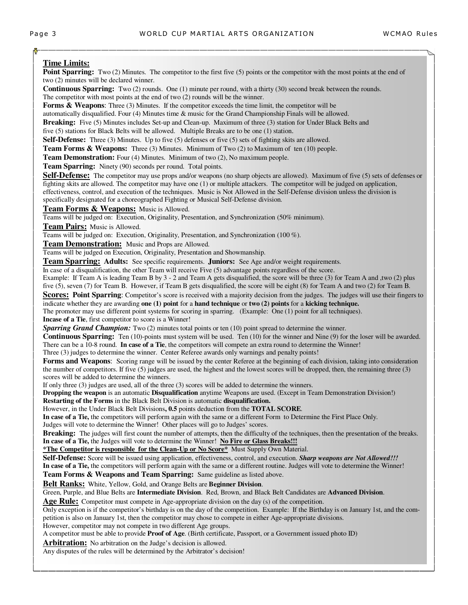#### **Time Limits:**

Point Sparring: Two (2) Minutes. The competitor to the first five (5) points or the competitor with the most points at the end of two (2) minutes will be declared winner.

**Continuous Sparring:** Two (2) rounds. One (1) minute per round, with a thirty (30) second break between the rounds. The competitor with most points at the end of two (2) rounds will be the winner.

**Forms & Weapons:** Three (3) Minutes. If the competitor exceeds the time limit, the competitor will be

automatically disqualified. Four (4) Minutes time & music for the Grand Championship Finals will be allowed.

**Breaking:** Five (5) Minutes includes Set-up and Clean-up. Maximum of three (3) station for Under Black Belts and

five (5) stations for Black Belts will be allowed. Multiple Breaks are to be one (1) station.

**Self-Defense:** Three (3) Minutes. Up to five (5) defenses or five (5) sets of fighting skits are allowed.

**Team Forms & Weapons:** Three (3) Minutes. Minimum of Two (2) to Maximum of ten (10) people.

**Team Demonstration:** Four (4) Minutes. Minimum of two (2), No maximum people.

**Team Sparring:** Ninety (90) seconds per round. Total points.

**Self-Defense:** The competitor may use props and/or weapons (no sharp objects are allowed). Maximum of five (5) sets of defenses or fighting skits are allowed. The competitor may have one (1) or multiple attackers. The competitor will be judged on application, effectiveness, control, and execution of the techniques. Music is Not Allowed in the Self-Defense division unless the division is specifically designated for a choreographed Fighting or Musical Self-Defense division.

**Team Forms & Weapons:** Music is Allowed.

Teams will be judged on: Execution, Originality, Presentation, and Synchronization (50% minimum).

**Team Pairs:** Music is Allowed.

Teams will be judged on: Execution, Originality, Presentation, and Synchronization (100 %).

**Team Demonstration:** Music and Props are Allowed.

Teams will be judged on Execution, Originality, Presentation and Showmanship.

**Team Sparring: Adults:** See specific requirements. **Juniors:** See Age and/or weight requirements.

In case of a disqualification, the other Team will receive Five (5) advantage points regardless of the score.

Example: If Team A is leading Team B by 3 - 2 and Team A gets disqualified, the score will be three (3) for Team A and ,two (2) plus five (5), seven (7) for Team B. However, if Team B gets disqualified, the score will be eight (8) for Team A and two (2) for Team B.

**Scores: Point Sparring**: Competitor's score is received with a majority decision from the judges. The judges will use their fingers to indicate whether they are awarding **one (1) point** for a **hand technique** or **two (2) points** for a **kicking technique.** 

The promoter may use different point systems for scoring in sparring. (Example: One (1) point for all techniques).

**Incase of a Tie**, first competitor to score is a Winner!

**Sparring Grand Champion:** Two (2) minutes total points or ten (10) point spread to determine the winner.

**Continuous Sparring:** Ten (10)-points must system will be used. Ten (10) for the winner and Nine (9) for the loser will be awarded. There can be a 10-8 round. **In case of a Tie**, the competitors will compete an extra round to determine the Winner!

Three (3) judges to determine the winner. Center Referee awards only warnings and penalty points!

**Forms and Weapons:** Scoring range will be issued by the center Referee at the beginning of each division, taking into consideration the number of competitors. If five (5) judges are used, the highest and the lowest scores will be dropped, then, the remaining three (3) scores will be added to determine the winners.

If only three (3) judges are used, all of the three (3) scores will be added to determine the winners.

**Dropping the weapon** is an automatic **Disqualification** anytime Weapons are used. (Except in Team Demonstration Division!) **Restarting of the Forms** in the Black Belt Division is automatic **disqualification.** 

However, in the Under Black Belt Divisions**, 0.5** points deduction from the **TOTAL SCORE**.

**In case of a Tie,** the competitors will perform again with the same or a different Form to Determine the First Place Only. Judges will vote to determine the Winner! Other places will go to Judges' scores.

**Breaking:** The judges will first count the number of attempts, then the difficulty of the techniques, then the presentation of the breaks. **In case of a Tie,** the Judges will vote to determine the Winner! **No Fire or Glass Breaks!!!** 

**\*The Competitor is responsible for the Clean-Up or No Score\*** Must Supply Own Material.

**Self-Defense:** Score will be issued using application, effectiveness, control, and execution. *Sharp weapons are Not Allowed!!!*

**In case of a Tie,** the competitors will perform again with the same or a different routine. Judges will vote to determine the Winner!

**Team Forms & Weapons and Team Sparring:** Same guideline as listed above.

**Belt Ranks:** White, Yellow, Gold, and Orange Belts are **Beginner Division**.

Green, Purple, and Blue Belts are **Intermediate Division**. Red, Brown, and Black Belt Candidates are **Advanced Division**.

**Age Rule:** Competitor must compete in Age-appropriate division on the day (s) of the competition.

Only exception is if the competitor's birthday is on the day of the competition. Example: If the Birthday is on January 1st, and the competition is also on January 1st, then the competitor may chose to compete in either Age-appropriate divisions.

However, competitor may not compete in two different Age groups.

A competitor must be able to provide **Proof of Age**. (Birth certificate, Passport, or a Government issued photo ID)

Arbitration: No arbitration on the Judge's decision is allowed.

Any disputes of the rules will be determined by the Arbitrator's decision!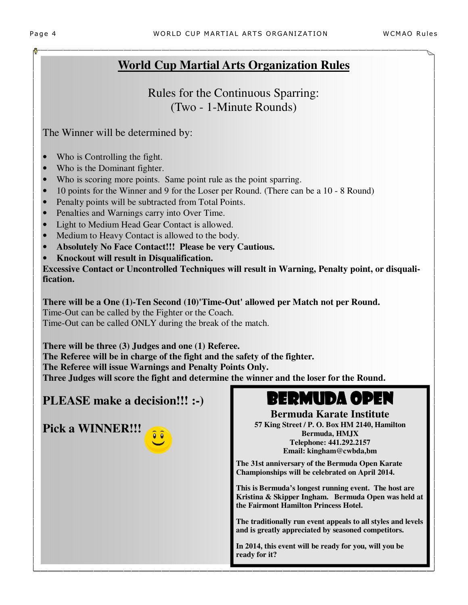Rules for the Continuous Sparring: (Two - 1-Minute Rounds)

The Winner will be determined by:

- Who is Controlling the fight.
- Who is the Dominant fighter.
- Who is scoring more points. Same point rule as the point sparring.
- 10 points for the Winner and 9 for the Loser per Round. (There can be a 10 8 Round)
- Penalty points will be subtracted from Total Points.
- Penalties and Warnings carry into Over Time.
- Light to Medium Head Gear Contact is allowed.
- Medium to Heavy Contact is allowed to the body.
- **Absolutely No Face Contact!!! Please be very Cautious.**
- **Knockout will result in Disqualification.**

**Excessive Contact or Uncontrolled Techniques will result in Warning, Penalty point, or disqualification.**

**There will be a One (1)-Ten Second (10)'Time-Out' allowed per Match not per Round.**  Time-Out can be called by the Fighter or the Coach. Time-Out can be called ONLY during the break of the match.

**There will be three (3) Judges and one (1) Referee. The Referee will be in charge of the fight and the safety of the fighter. The Referee will issue Warnings and Penalty Points Only. Three Judges will score the fight and determine the winner and the loser for the Round.** 

### **PLEASE make a decision!!! :-)**

**Pick a WINNER!!!** 



## BERMUDA OPEN

**Bermuda Karate Institute 57 King Street / P. O. Box HM 2140, Hamilton Bermuda, HMJX Telephone: 441.292.2157 Email: kingham@cwbda,bm** 

**The 31st anniversary of the Bermuda Open Karate Championships will be celebrated on April 2014.** 

**This is Bermuda's longest running event. The host are Kristina & Skipper Ingham. Bermuda Open was held at the Fairmont Hamilton Princess Hotel.** 

**The traditionally run event appeals to all styles and levels and is greatly appreciated by seasoned competitors.** 

**In 2014, this event will be ready for you, will you be ready for it?**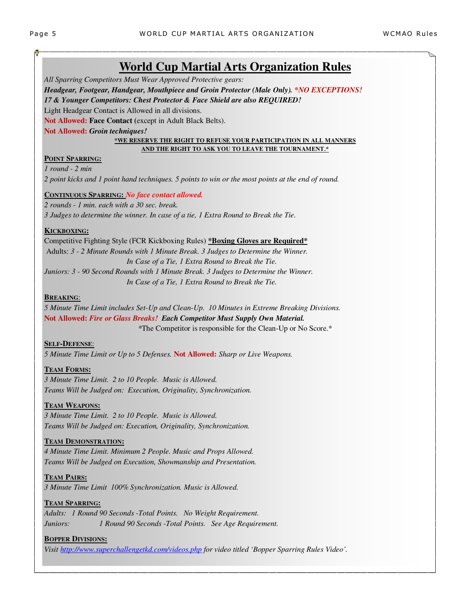*All Sparring Competitors Must Wear Approved Protective gears:* 

### *Headgear, Footgear, Handgear, Mouthpiece and Groin Protector (Male Only). \*NO EXCEPTIONS!*

*17 & Younger Competitors: Chest Protector & Face Shield are also REQUIRED!* 

Light Headgear Contact is Allowed in all divisions.

**Not Allowed: Face Contact (**except in Adult Black Belts).

#### **Not Allowed:** *Groin techniques!*

#### **\*WE RESERVE THE RIGHT TO REFUSE YOUR PARTICIPATION IN ALL MANNERS AND THE RIGHT TO ASK YOU TO LEAVE THE TOURNAMENT.\***

#### **POINT SPARRING:**

*1 round - 2 min 2 point kicks and 1 point hand techniques. 5 points to win or the most points at the end of round.* 

#### **CONTINUOUS SPARRING:** *No face contact allowed.*

*2 rounds - 1 min. each with a 30 sec. break. 3 Judges to determine the winner. In case of a tie, 1 Extra Round to Break the Tie.* 

#### **KICKBOXING:**

Competitive Fighting Style (FCR Kickboxing Rules) **\*Boxing Gloves are Required\*** Adults: *3 - 2 Minute Rounds with 1 Minute Break. 3 Judges to Determine the Winner. In Case of a Tie, 1 Extra Round to Break the Tie. Juniors: 3 - 90 Second Rounds with 1 Minute Break. 3 Judges to Determine the Winner. In Case of a Tie, 1 Extra Round to Break the Tie.* 

#### **BREAKING**:

*5 Minute Time Limit includes Set-Up and Clean-Up. 10 Minutes in Extreme Breaking Divisions.*  **Not Allowed:** *Fire or Glass Breaks! Each Competitor Must Supply Own Material. \**The Competitor is responsible for the Clean-Up or No Score.\*

#### **SELF-DEFENSE**:

*5 Minute Time Limit or Up to 5 Defenses.* **Not Allowed:** *Sharp or Live Weapons.* 

#### **TEAM FORMS:**

*3 Minute Time Limit. 2 to 10 People. Music is Allowed. Teams Will be Judged on: Execution, Originality, Synchronization.*

#### **TEAM WEAPONS:**

*3 Minute Time Limit. 2 to 10 People. Music is Allowed. Teams Will be Judged on: Execution, Originality, Synchronization.* 

#### **TEAM DEMONSTRATION:**

*4 Minute Time Limit. Minimum 2 People. Music and Props Allowed. Teams Will be Judged on Execution, Showmanship and Presentation.* 

#### **TEAM PAIRS:**

*3 Minute Time Limit 100% Synchronization. Music is Allowed.* 

#### **TEAM SPARRING:**

*Adults: 1 Round 90 Seconds -Total Points. No Weight Requirement. Juniors: 1 Round 90 Seconds -Total Points. See Age Requirement.* 

#### **BOPPER DIVISIONS:**

*Visit http://www.superchallengetkd.com/videos.php for video titled 'Bopper Sparring Rules Video'.*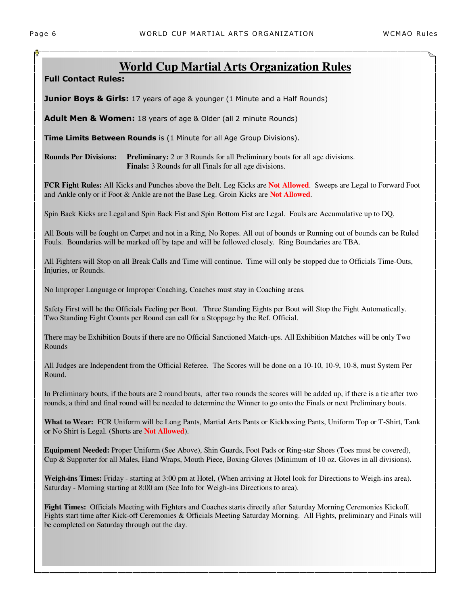**Full Contact Rules:** 

**Junior Boys & Girls:** 17 years of age & younger (1 Minute and a Half Rounds)

**Adult Men & Women:** 18 years of age & Older (all 2 minute Rounds)

**Time Limits Between Rounds** is (1 Minute for all Age Group Divisions).

**Rounds Per Divisions:** Preliminary: 2 or 3 Rounds for all Preliminary bouts for all age divisions. **Finals:** 3 Rounds for all Finals for all age divisions.

**FCR Fight Rules:** All Kicks and Punches above the Belt. Leg Kicks are **Not Allowed**. Sweeps are Legal to Forward Foot and Ankle only or if Foot & Ankle are not the Base Leg. Groin Kicks are **Not Allowed**.

Spin Back Kicks are Legal and Spin Back Fist and Spin Bottom Fist are Legal. Fouls are Accumulative up to DQ.

All Bouts will be fought on Carpet and not in a Ring, No Ropes. All out of bounds or Running out of bounds can be Ruled Fouls. Boundaries will be marked off by tape and will be followed closely. Ring Boundaries are TBA.

All Fighters will Stop on all Break Calls and Time will continue. Time will only be stopped due to Officials Time-Outs, Injuries, or Rounds.

No Improper Language or Improper Coaching, Coaches must stay in Coaching areas.

Safety First will be the Officials Feeling per Bout. Three Standing Eights per Bout will Stop the Fight Automatically. Two Standing Eight Counts per Round can call for a Stoppage by the Ref. Official.

There may be Exhibition Bouts if there are no Official Sanctioned Match-ups. All Exhibition Matches will be only Two Rounds

All Judges are Independent from the Official Referee. The Scores will be done on a 10-10, 10-9, 10-8, must System Per Round.

In Preliminary bouts, if the bouts are 2 round bouts, after two rounds the scores will be added up, if there is a tie after two rounds, a third and final round will be needed to determine the Winner to go onto the Finals or next Preliminary bouts.

What to Wear: FCR Uniform will be Long Pants, Martial Arts Pants or Kickboxing Pants, Uniform Top or T-Shirt, Tank or No Shirt is Legal. (Shorts are **Not Allowed**).

Equipment Needed: Proper Uniform (See Above), Shin Guards, Foot Pads or Ring-star Shoes (Toes must be covered), **banquet is a full Sit down formal**  Cup & Supporter for all Males, Hand Wraps, Mouth Piece, Boxing Gloves (Minimum of 10 oz. Gloves in all divisions).

**Weigh-ins Times:** Friday - starting at 3:00 pm at Hotel, (When arriving at Hotel look for Directions to Weigh-ins area).<br>Setunday, Marriag starting at 8:00 am (Sas Info fan Weigh ins Directions to ance). Saturday - Morning starting at 8:00 am (See Info for Weigh-ins Directions to area).

**Fight Times:** Officials Meeting with Fighters and Coaches starts directly after Saturday Morning Ceremonies Kickoff. Fights start time after Kick-off Ceremonies & Officials Meeting Saturday Morning. All Fights, preliminary and Finals will be completed on Saturday through out the day.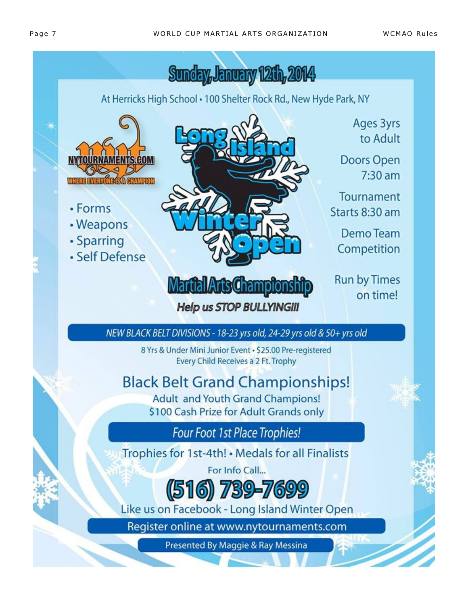**WCMAO Rules**